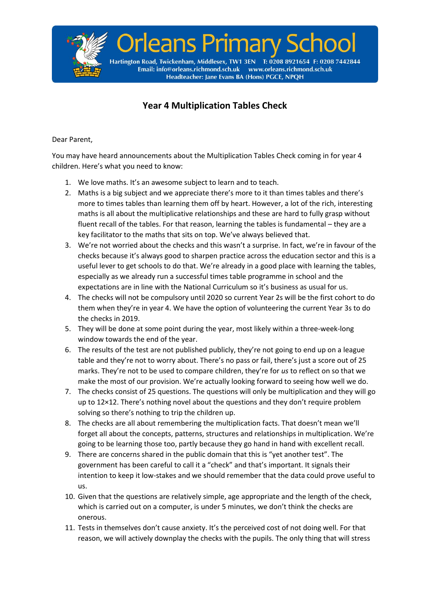

## **Year 4 Multiplication Tables Check**

## Dear Parent,

You may have heard announcements about the Multiplication Tables Check coming in for year 4 children. Here's what you need to know:

- 1. We love maths. It's an awesome subject to learn and to teach.
- 2. Maths is a big subject and we appreciate there's more to it than times tables and there's more to times tables than learning them off by heart. However, a lot of the rich, interesting maths is all about the multiplicative relationships and these are hard to fully grasp without fluent recall of the tables. For that reason, learning the tables is fundamental – they are a key facilitator to the maths that sits on top. We've always believed that.
- 3. We're not worried about the checks and this wasn't a surprise. In fact, we're in favour of the checks because it's always good to sharpen practice across the education sector and this is a useful lever to get schools to do that. We're already in a good place with learning the tables, especially as we already run a successful times table programme in school and the expectations are in line with the National Curriculum so it's business as usual for us.
- 4. The checks will not be compulsory until 2020 so current Year 2s will be the first cohort to do them when they're in year 4. We have the option of volunteering the current Year 3s to do the checks in 2019.
- 5. They will be done at some point during the year, most likely within a three-week-long window towards the end of the year.
- 6. The results of the test are not published publicly, they're not going to end up on a league table and they're not to worry about. There's no pass or fail, there's just a score out of 25 marks. They're not to be used to compare children, they're for *us* to reflect on so that we make the most of our provision. We're actually looking forward to seeing how well we do.
- 7. The checks consist of 25 questions. The questions will only be multiplication and they will go up to 12×12. There's nothing novel about the questions and they don't require problem solving so there's nothing to trip the children up.
- 8. The checks are all about remembering the multiplication facts. That doesn't mean we'll forget all about the concepts, patterns, structures and relationships in multiplication. We're going to be learning those too, partly because they go hand in hand with excellent recall.
- 9. There are concerns shared in the public domain that this is "yet another test". The government has been careful to call it a "check" and that's important. It signals their intention to keep it low-stakes and we should remember that the data could prove useful to us.
- 10. Given that the questions are relatively simple, age appropriate and the length of the check, which is carried out on a computer, is under 5 minutes, we don't think the checks are onerous.
- 11. Tests in themselves don't cause anxiety. It's the perceived cost of not doing well. For that reason, we will actively downplay the checks with the pupils. The only thing that will stress